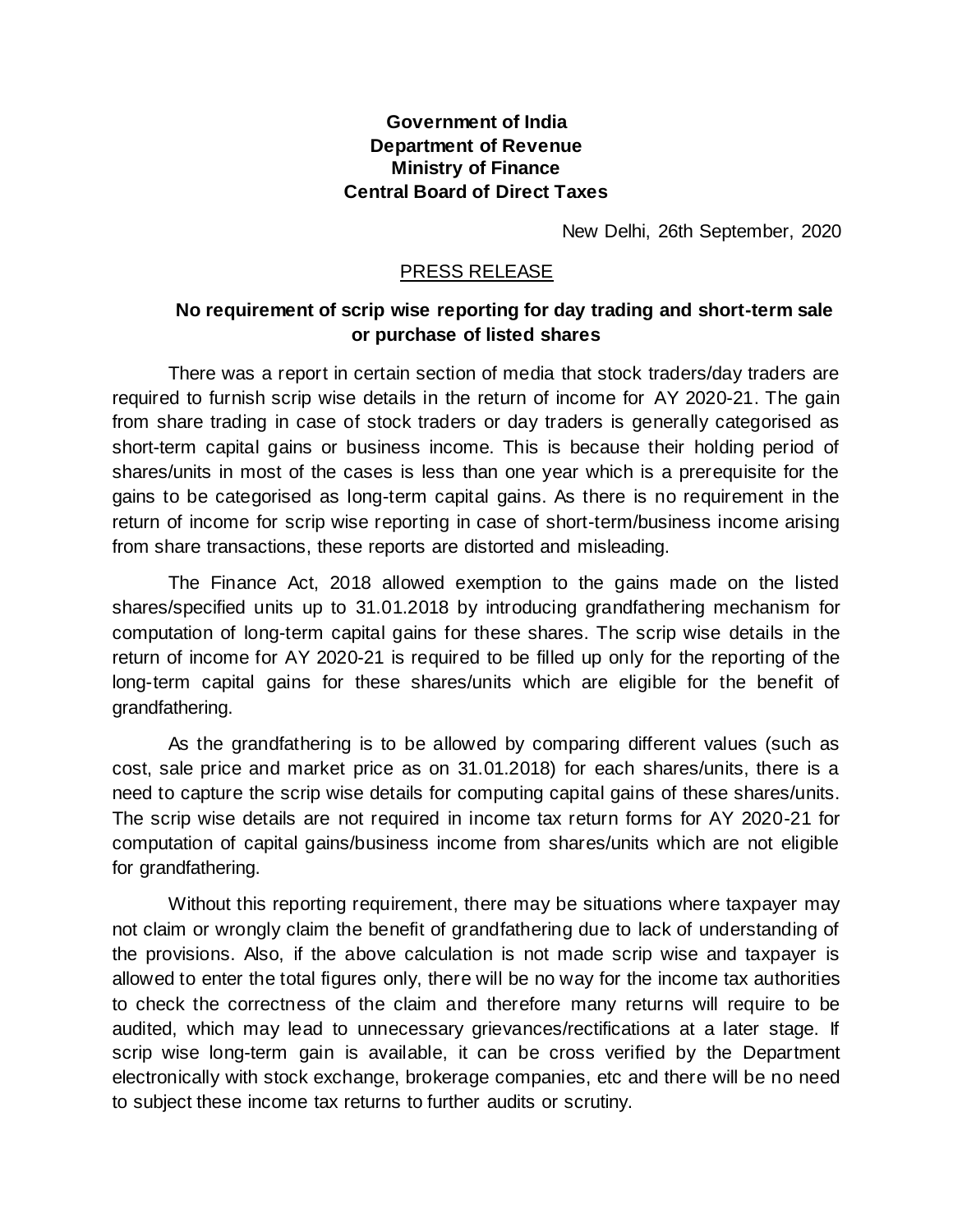## **Government of India Department of Revenue Ministry of Finance Central Board of Direct Taxes**

New Delhi, 26th September, 2020

## PRESS RELEASE

## **No requirement of scrip wise reporting for day trading and short-term sale or purchase of listed shares**

There was a report in certain section of media that stock traders/day traders are required to furnish scrip wise details in the return of income for AY 2020-21. The gain from share trading in case of stock traders or day traders is generally categorised as short-term capital gains or business income. This is because their holding period of shares/units in most of the cases is less than one year which is a prerequisite for the gains to be categorised as long-term capital gains. As there is no requirement in the return of income for scrip wise reporting in case of short-term/business income arising from share transactions, these reports are distorted and misleading.

The Finance Act, 2018 allowed exemption to the gains made on the listed shares/specified units up to 31.01.2018 by introducing grandfathering mechanism for computation of long-term capital gains for these shares. The scrip wise details in the return of income for AY 2020-21 is required to be filled up only for the reporting of the long-term capital gains for these shares/units which are eligible for the benefit of grandfathering.

As the grandfathering is to be allowed by comparing different values (such as cost, sale price and market price as on 31.01.2018) for each shares/units, there is a need to capture the scrip wise details for computing capital gains of these shares/units. The scrip wise details are not required in income tax return forms for AY 2020-21 for computation of capital gains/business income from shares/units which are not eligible for grandfathering.

Without this reporting requirement, there may be situations where taxpayer may not claim or wrongly claim the benefit of grandfathering due to lack of understanding of the provisions. Also, if the above calculation is not made scrip wise and taxpayer is allowed to enter the total figures only, there will be no way for the income tax authorities to check the correctness of the claim and therefore many returns will require to be audited, which may lead to unnecessary grievances/rectifications at a later stage. If scrip wise long-term gain is available, it can be cross verified by the Department electronically with stock exchange, brokerage companies, etc and there will be no need to subject these income tax returns to further audits or scrutiny.